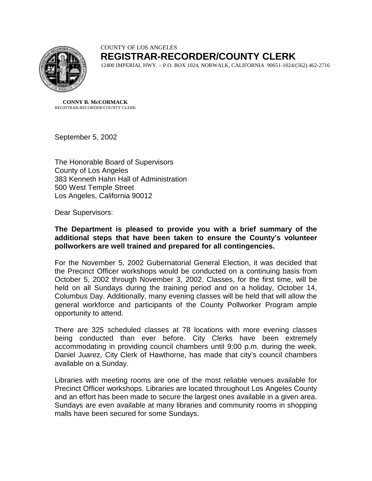

## COUNTY OF LOS ANGELES **REGISTRAR-RECORDER/COUNTY CLERK**

12400 IMPERIAL HWY. – P.O. BOX 1024, NORWALK, CALIFORNIA 90651-1024/(562) 462-2716

**CONNY B. McCORMACK** REGISTRAR-RECORDER/COUNTY CLERK

September 5, 2002

The Honorable Board of Supervisors County of Los Angeles 383 Kenneth Hahn Hall of Administration 500 West Temple Street Los Angeles, California 90012

Dear Supervisors:

**The Department is pleased to provide you with a brief summary of the additional steps that have been taken to ensure the County's volunteer pollworkers are well trained and prepared for all contingencies.** 

For the November 5, 2002 Gubernatorial General Election, it was decided that the Precinct Officer workshops would be conducted on a continuing basis from October 5, 2002 through November 3, 2002. Classes, for the first time, will be held on all Sundays during the training period and on a holiday, October 14, Columbus Day. Additionally, many evening classes will be held that will allow the general workforce and participants of the County Pollworker Program ample opportunity to attend.

There are 325 scheduled classes at 78 locations with more evening classes being conducted than ever before. City Clerks have been extremely accommodating in providing council chambers until 9:00 p.m. during the week. Daniel Juarez, City Clerk of Hawthorne, has made that city's council chambers available on a Sunday.

Libraries with meeting rooms are one of the most reliable venues available for Precinct Officer workshops. Libraries are located throughout Los Angeles County and an effort has been made to secure the largest ones available in a given area. Sundays are even available at many libraries and community rooms in shopping malls have been secured for some Sundays.